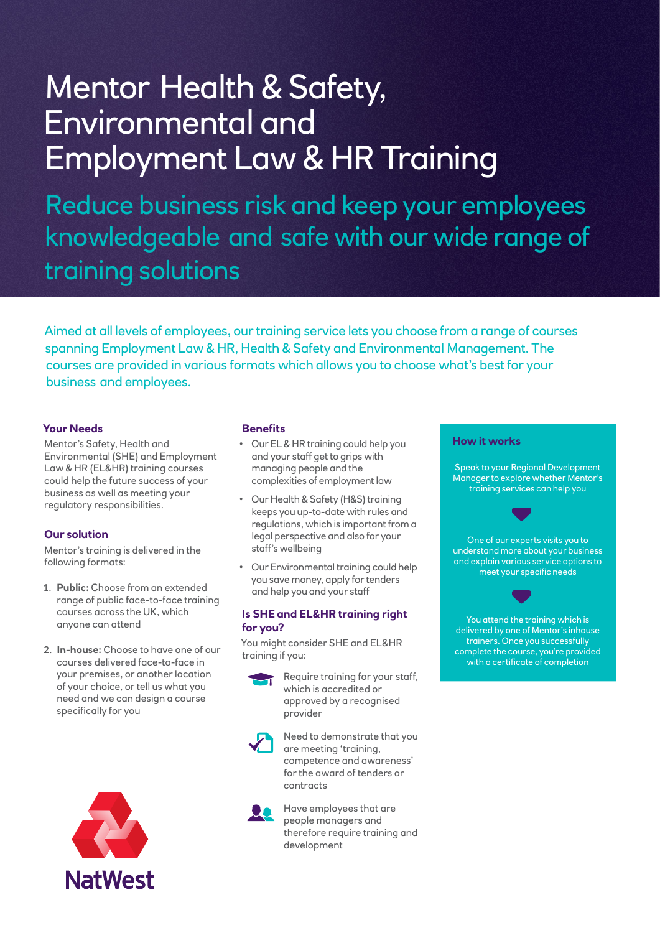# Mentor Health & Safety, Environmental and Employment Law & HR Training

Reduce business risk and keep your employees knowledgeable and safe with our wide range of training solutions

Aimed at all levels of employees, our training service lets you choose from a range of courses spanning Employment Law & HR, Health & Safety and Environmental Management. The courses are provided in various formats which allows you to choose what's best for your business and employees.

# **Your Needs**

Mentor's Safety, Health and Environmental (SHE) and Employment Law & HR (EL&HR) training courses could help the future success of your business as well as meeting your regulatory responsibilities.

## **Our solution**

Mentor's training is delivered in the following formats:

- 1. **Public:** Choose from an extended range of public face-to-face training courses across the UK, which anyone can attend
- 2. **In-house:** Choose to have one of our courses delivered face-to-face in your premises, or another location of your choice, or tell us what you need and we can design a course specifically for you



#### **Benefits**

- Our EL & HR training could help you and your staff get to grips with managing people and the complexities of employment law
- Our Health & Safety (H&S) training keeps you up-to-date with rules and regulations, which is important from a legal perspective and also for your staff's wellbeing
- Our Environmental training could help you save money, apply for tenders and help you and your staff

### **Is SHE and EL&HR training right for you?**

You might consider SHE and EL&HR training if you:



Require training for your staff, which is accredited or approved by a recognised provider



Need to demonstrate that you are meeting 'training, competence and awareness' for the award of tenders or contracts



Have employees that are people managers and therefore require training and development

#### **How it works**

Speak to your Regional Development Manager to explore whether Mentor's training services can help you



One of our experts visits you to understand more about your business and explain various service options to meet your specific needs



You attend the training which is delivered by one of Mentor's inhouse trainers. Once you successfully complete the course, you're provided with a certificate of completion